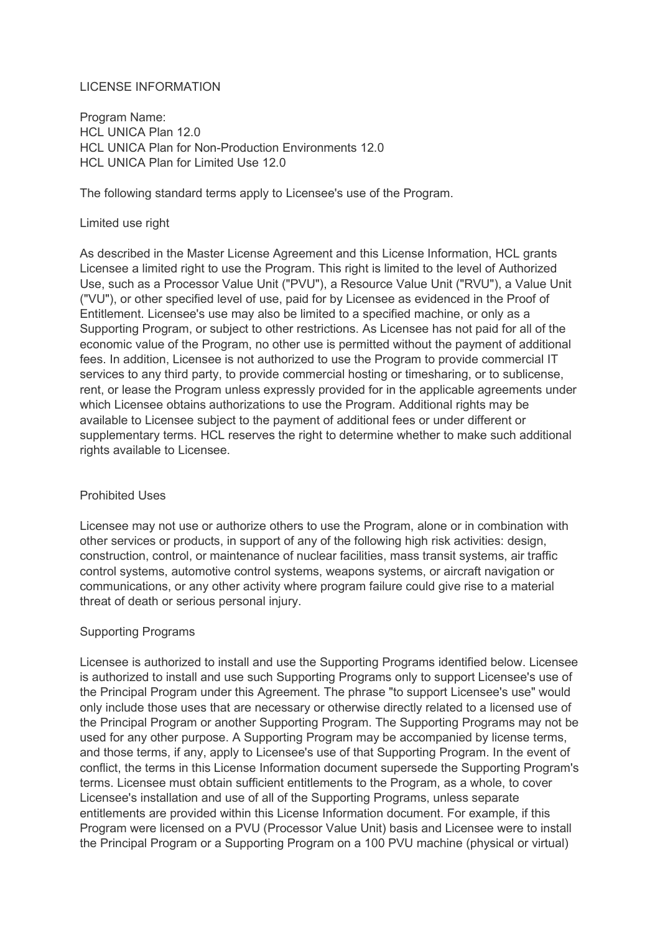# LICENSE INFORMATION

Program Name: HCL UNICA Plan 12.0 HCL UNICA Plan for Non-Production Environments 12.0 HCL UNICA Plan for Limited Use 12.0

The following standard terms apply to Licensee's use of the Program.

### Limited use right

As described in the Master License Agreement and this License Information, HCL grants Licensee a limited right to use the Program. This right is limited to the level of Authorized Use, such as a Processor Value Unit ("PVU"), a Resource Value Unit ("RVU"), a Value Unit ("VU"), or other specified level of use, paid for by Licensee as evidenced in the Proof of Entitlement. Licensee's use may also be limited to a specified machine, or only as a Supporting Program, or subject to other restrictions. As Licensee has not paid for all of the economic value of the Program, no other use is permitted without the payment of additional fees. In addition, Licensee is not authorized to use the Program to provide commercial IT services to any third party, to provide commercial hosting or timesharing, or to sublicense, rent, or lease the Program unless expressly provided for in the applicable agreements under which Licensee obtains authorizations to use the Program. Additional rights may be available to Licensee subject to the payment of additional fees or under different or supplementary terms. HCL reserves the right to determine whether to make such additional rights available to Licensee.

# Prohibited Uses

Licensee may not use or authorize others to use the Program, alone or in combination with other services or products, in support of any of the following high risk activities: design, construction, control, or maintenance of nuclear facilities, mass transit systems, air traffic control systems, automotive control systems, weapons systems, or aircraft navigation or communications, or any other activity where program failure could give rise to a material threat of death or serious personal injury.

# Supporting Programs

Licensee is authorized to install and use the Supporting Programs identified below. Licensee is authorized to install and use such Supporting Programs only to support Licensee's use of the Principal Program under this Agreement. The phrase "to support Licensee's use" would only include those uses that are necessary or otherwise directly related to a licensed use of the Principal Program or another Supporting Program. The Supporting Programs may not be used for any other purpose. A Supporting Program may be accompanied by license terms, and those terms, if any, apply to Licensee's use of that Supporting Program. In the event of conflict, the terms in this License Information document supersede the Supporting Program's terms. Licensee must obtain sufficient entitlements to the Program, as a whole, to cover Licensee's installation and use of all of the Supporting Programs, unless separate entitlements are provided within this License Information document. For example, if this Program were licensed on a PVU (Processor Value Unit) basis and Licensee were to install the Principal Program or a Supporting Program on a 100 PVU machine (physical or virtual)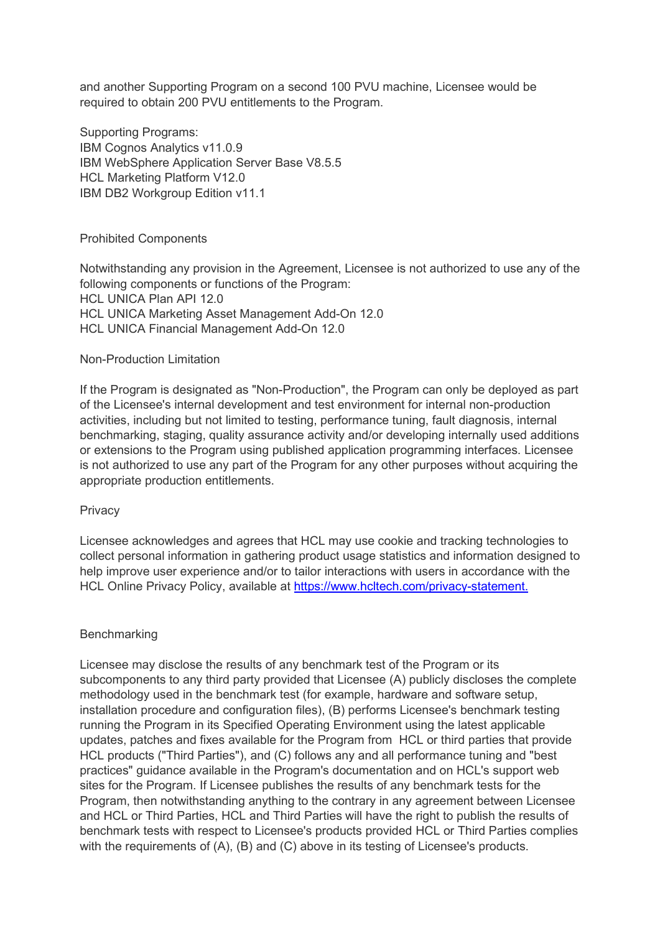and another Supporting Program on a second 100 PVU machine, Licensee would be required to obtain 200 PVU entitlements to the Program.

Supporting Programs: IBM Cognos Analytics v11.0.9 IBM WebSphere Application Server Base V8.5.5 HCL Marketing Platform V12.0 IBM DB2 Workgroup Edition v11.1

### Prohibited Components

Notwithstanding any provision in the Agreement, Licensee is not authorized to use any of the following components or functions of the Program: HCL UNICA Plan API 12.0 HCL UNICA Marketing Asset Management Add-On 12.0 HCL UNICA Financial Management Add-On 12.0

### Non-Production Limitation

If the Program is designated as "Non-Production", the Program can only be deployed as part of the Licensee's internal development and test environment for internal non-production activities, including but not limited to testing, performance tuning, fault diagnosis, internal benchmarking, staging, quality assurance activity and/or developing internally used additions or extensions to the Program using published application programming interfaces. Licensee is not authorized to use any part of the Program for any other purposes without acquiring the appropriate production entitlements.

#### **Privacy**

Licensee acknowledges and agrees that HCL may use cookie and tracking technologies to collect personal information in gathering product usage statistics and information designed to help improve user experience and/or to tailor interactions with users in accordance with the HCL Online Privacy Policy, available at [https://www.hcltech.com/privacy-statement.](https://www.hcltech.com/privacy-statement)

# **Benchmarking**

Licensee may disclose the results of any benchmark test of the Program or its subcomponents to any third party provided that Licensee (A) publicly discloses the complete methodology used in the benchmark test (for example, hardware and software setup, installation procedure and configuration files), (B) performs Licensee's benchmark testing running the Program in its Specified Operating Environment using the latest applicable updates, patches and fixes available for the Program from HCL or third parties that provide HCL products ("Third Parties"), and (C) follows any and all performance tuning and "best practices" guidance available in the Program's documentation and on HCL's support web sites for the Program. If Licensee publishes the results of any benchmark tests for the Program, then notwithstanding anything to the contrary in any agreement between Licensee and HCL or Third Parties, HCL and Third Parties will have the right to publish the results of benchmark tests with respect to Licensee's products provided HCL or Third Parties complies with the requirements of (A), (B) and (C) above in its testing of Licensee's products.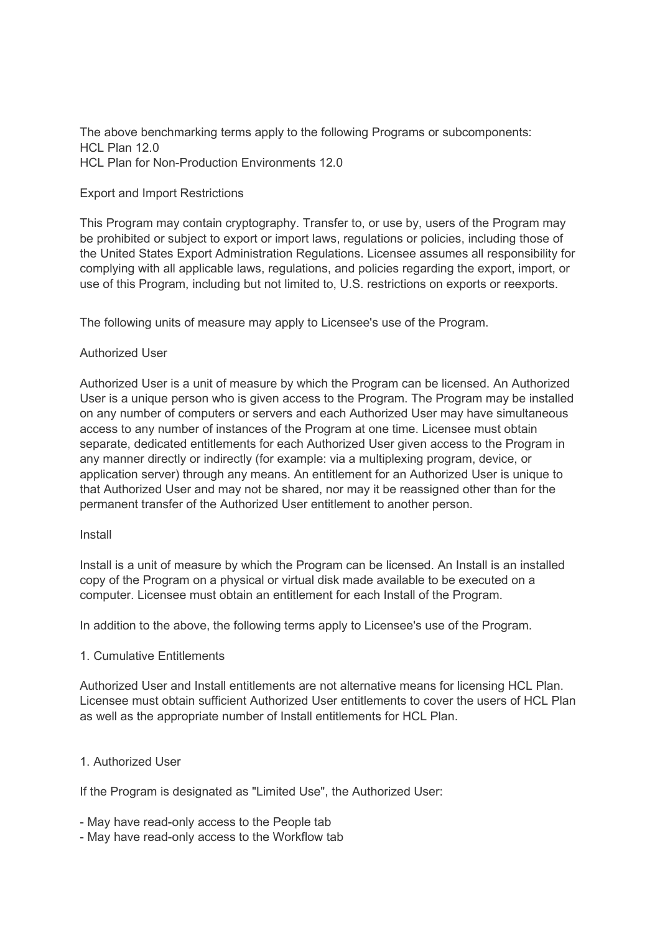The above benchmarking terms apply to the following Programs or subcomponents:  $HCI$  Plan 12.0 HCL Plan for Non-Production Environments 12.0

### Export and Import Restrictions

This Program may contain cryptography. Transfer to, or use by, users of the Program may be prohibited or subject to export or import laws, regulations or policies, including those of the United States Export Administration Regulations. Licensee assumes all responsibility for complying with all applicable laws, regulations, and policies regarding the export, import, or use of this Program, including but not limited to, U.S. restrictions on exports or reexports.

The following units of measure may apply to Licensee's use of the Program.

### Authorized User

Authorized User is a unit of measure by which the Program can be licensed. An Authorized User is a unique person who is given access to the Program. The Program may be installed on any number of computers or servers and each Authorized User may have simultaneous access to any number of instances of the Program at one time. Licensee must obtain separate, dedicated entitlements for each Authorized User given access to the Program in any manner directly or indirectly (for example: via a multiplexing program, device, or application server) through any means. An entitlement for an Authorized User is unique to that Authorized User and may not be shared, nor may it be reassigned other than for the permanent transfer of the Authorized User entitlement to another person.

#### Install

Install is a unit of measure by which the Program can be licensed. An Install is an installed copy of the Program on a physical or virtual disk made available to be executed on a computer. Licensee must obtain an entitlement for each Install of the Program.

In addition to the above, the following terms apply to Licensee's use of the Program.

#### 1. Cumulative Entitlements

Authorized User and Install entitlements are not alternative means for licensing HCL Plan. Licensee must obtain sufficient Authorized User entitlements to cover the users of HCL Plan as well as the appropriate number of Install entitlements for HCL Plan.

# 1. Authorized User

If the Program is designated as "Limited Use", the Authorized User:

- May have read-only access to the People tab
- May have read-only access to the Workflow tab